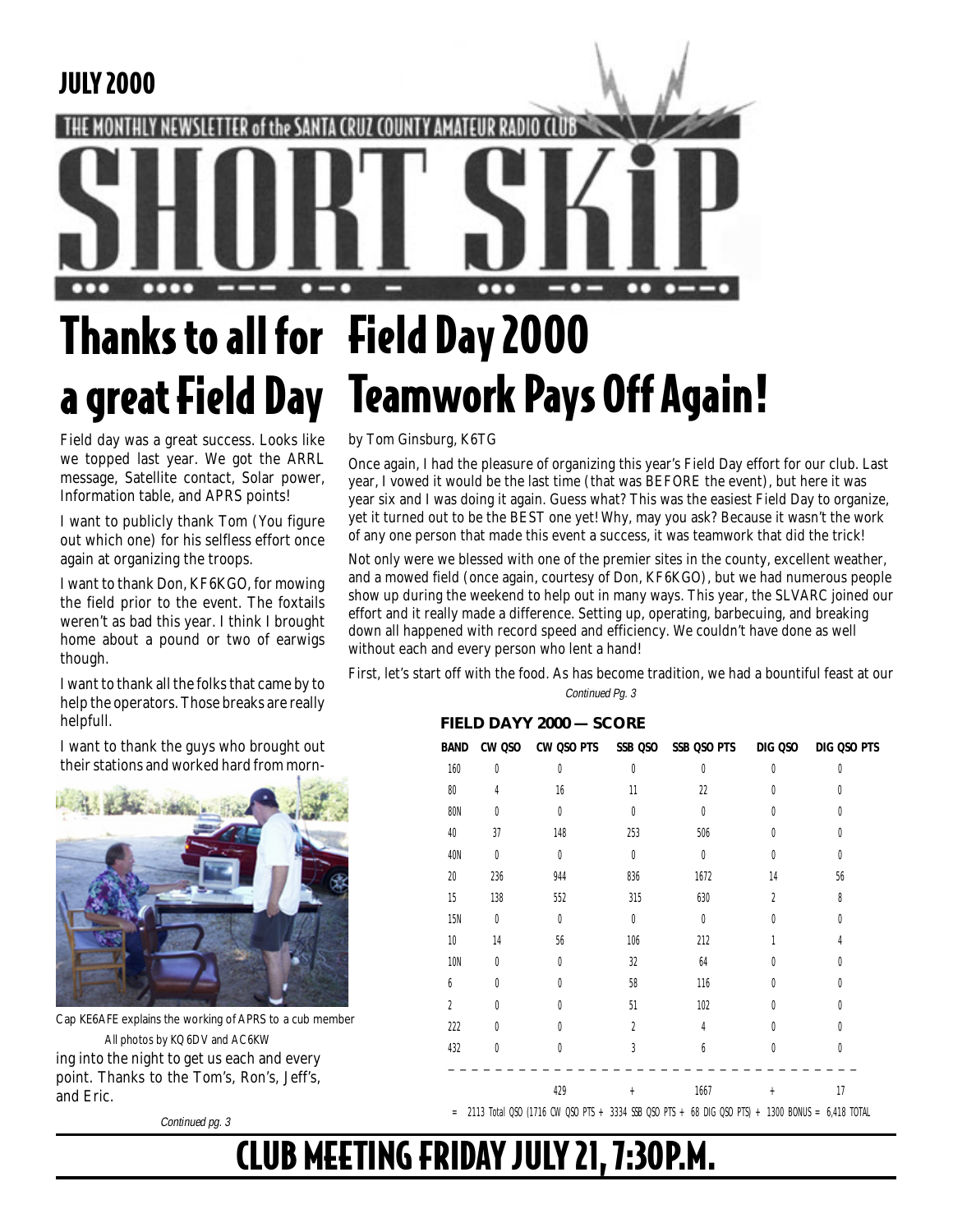### JULY 2000

# $\mathbf{G}$

# Thanks to all for Field Day 2000 a great Field Day Teamwork Pays Off Again!

Field day was a great success. Looks like we topped last year. We got the ARRL message, Satellite contact, Solar power, Information table, and APRS points!

I want to publicly thank Tom (You figure out which one) for his selfless effort once again at organizing the troops.

I want to thank Don, KF6KGO, for mowing the field prior to the event. The foxtails weren't as bad this year. I think I brought home about a pound or two of earwigs though.

I want to thank all the folks that came by to help the operators. Those breaks are really helpfull.

I want to thank the guys who brought out their stations and worked hard from morn-



Cap KE6AFE explains the working of APRS to a cub member All photos by KQ6DV and AC6KW

ing into the night to get us each and every point. Thanks to the Tom's, Ron's, Jeff's, and Eric.

Continued pg. 3

by Tom Ginsburg, K6TG

Once again, I had the pleasure of organizing this year's Field Day effort for our club. Last year, I vowed it would be the last time (that was BEFORE the event), but here it was year six and I was doing it again. Guess what? This was the easiest Field Day to organize, yet it turned out to be the BEST one yet! Why, may you ask? Because it wasn't the work of any one person that made this event a success, it was teamwork that did the trick!

Not only were we blessed with one of the premier sites in the county, excellent weather, and a mowed field (once again, courtesy of Don, KF6KGO), but we had numerous people show up during the weekend to help out in many ways. This year, the SLVARC joined our effort and it really made a difference. Setting up, operating, barbecuing, and breaking down all happened with record speed and efficiency. We couldn't have done as well without each and every person who lent a hand!

First, let's start off with the food. As has become tradition, we had a bountiful feast at our Continued Pg. 3

#### **FIELD DAYY 2000 — SCORE**

| BAND           |           |                  |                  | CW QSO CW QSO PTS SSB QSO SSB QSO PTS DIG QSO |                | DIG QSO PTS |
|----------------|-----------|------------------|------------------|-----------------------------------------------|----------------|-------------|
| 160            | 0         | $\boldsymbol{0}$ | $\boldsymbol{0}$ | $\boldsymbol{0}$                              | $\theta$       | 0           |
| 80             | 4         | 16               | 11               | 22                                            | 0              | 0           |
| <b>80N</b>     | 0         | 0                | 0                | $\boldsymbol{0}$                              | 0              | 0           |
| 40             | 37        | 148              | 253              | 506                                           | 0              | 0           |
| 40N            | $\bf{0}$  | $\bf{0}$         | $\bf{0}$         | $\boldsymbol{0}$                              | $\theta$       | 0           |
| 20             | 236       | 944              | 836              | 1672                                          | 14             | 56          |
| 15             | 138       | 552              | 315              | 630                                           | $\overline{2}$ | 8           |
| <b>15N</b>     | $\pmb{0}$ | $\bf{0}$         | $\bf{0}$         | $\boldsymbol{0}$                              | 0              | 0           |
| 10             | 14        | 56               | 106              | 212                                           | 1              | 4           |
| <b>10N</b>     | 0         | $\boldsymbol{0}$ | 32               | 64                                            | 0              | 0           |
| 6              | $\theta$  | $\theta$         | 58               | 116                                           | 0              | $\theta$    |
| $\overline{2}$ | $\theta$  | $\theta$         | 51               | 102                                           | U              | 0           |
| 222            | 0         | $\theta$         | $\overline{2}$   | 4                                             | U              | 0           |
| 432            | 0         | 0                | $\overline{3}$   | 6                                             | 0              | 0           |
|                |           | 429              | $+$              | 1667                                          | $+$            | 17          |

 $=$  2113 Total QSO (1716 CW QSO PTS + 3334 SSB QSO PTS + 68 DIG QSO PTS) + 1300 BONUS = 6,418 TOTAL

### CLUB MEETING FRIDAY JULY 21, 7:30P.M.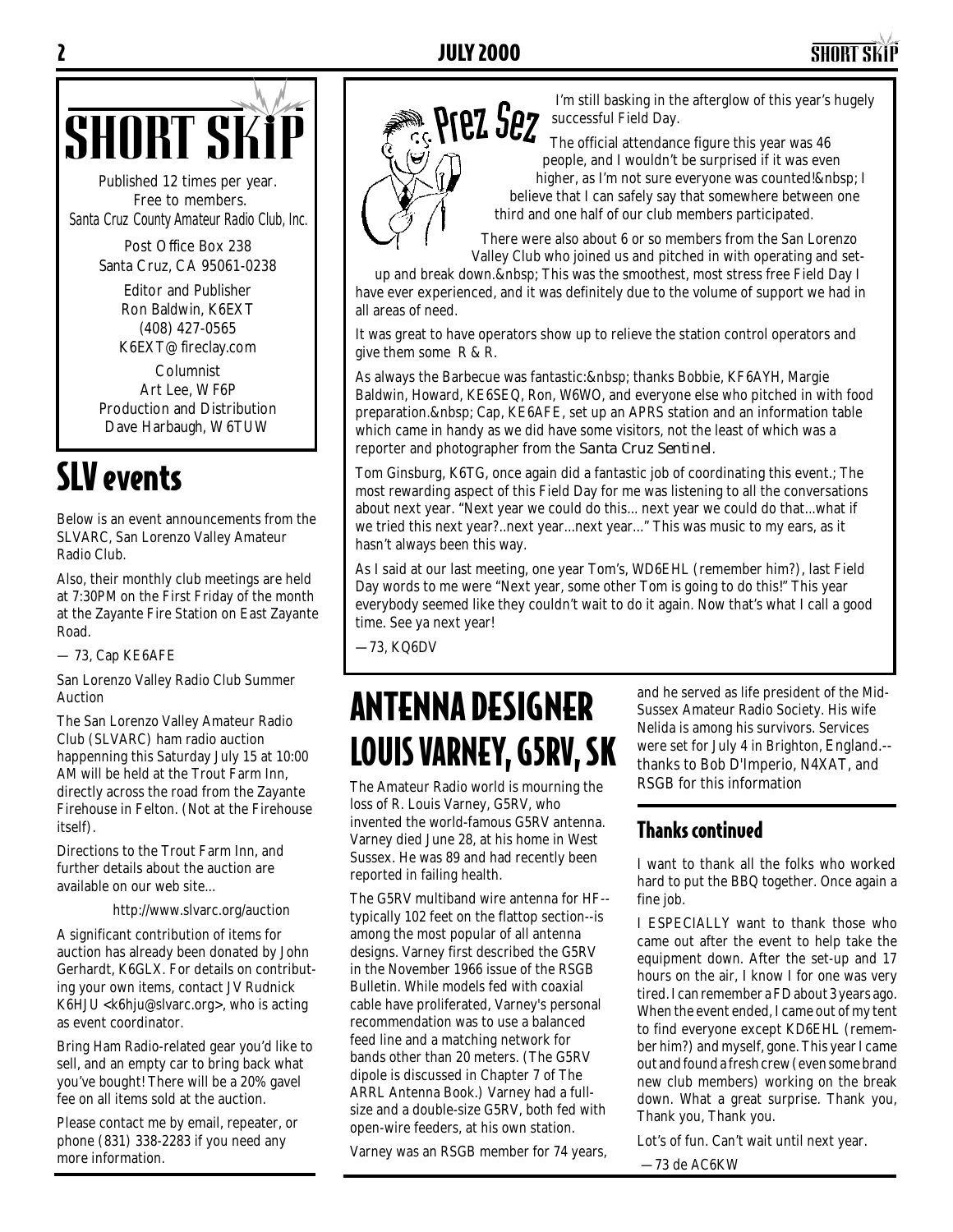

Published 12 times per year. Free to members. *Santa Cruz County Amateur Radio Club, Inc.*

> Post Office Box 238 Santa Cruz, CA 95061-0238

> > Editor and Publisher Ron Baldwin, K6EXT (408) 427-0565 K6EXT@fireclay.com

Columnist Art Lee, WF6P Production and Distribution Dave Harbaugh, W6TUW

### SLV events

Below is an event announcements from the SLVARC, San Lorenzo Valley Amateur Radio Club.

Also, their monthly club meetings are held at 7:30PM on the First Friday of the month at the Zayante Fire Station on East Zayante Road.

— 73, Cap KE6AFE

San Lorenzo Valley Radio Club Summer Auction

The San Lorenzo Valley Amateur Radio Club (SLVARC) ham radio auction happenning this Saturday July 15 at 10:00 AM will be held at the Trout Farm Inn, directly across the road from the Zayante Firehouse in Felton. (Not at the Firehouse itself).

Directions to the Trout Farm Inn, and further details about the auction are available on our web site...

http://www.slvarc.org/auction

A significant contribution of items for auction has already been donated by John Gerhardt, K6GLX. For details on contributing your own items, contact JV Rudnick K6HJU <k6hju@slvarc.org>, who is acting as event coordinator.

Bring Ham Radio-related gear you'd like to sell, and an empty car to bring back what you've bought! There will be a 20% gavel fee on all items sold at the auction.

Please contact me by email, repeater, or phone (831) 338-2283 if you need any more information.



I'm still basking in the afterglow of this year's hugely successful Field Day.

 The official attendance figure this year was 46 people, and I wouldn't be surprised if it was even higher, as I'm not sure everyone was counted! I believe that I can safely say that somewhere between one third and one half of our club members participated.

There were also about 6 or so members from the San Lorenzo Valley Club who joined us and pitched in with operating and set-

up and break down. This was the smoothest, most stress free Field Day I have ever experienced, and it was definitely due to the volume of support we had in all areas of need.

It was great to have operators show up to relieve the station control operators and give them some R & R.

As always the Barbecue was fantastic: thanks Bobbie, KF6AYH, Margie Baldwin, Howard, KE6SEQ, Ron, W6WO, and everyone else who pitched in with food preparation. Cap, KE6AFE, set up an APRS station and an information table which came in handy as we did have some visitors, not the least of which was a reporter and photographer from the *Santa Cruz Sentinel*.

Tom Ginsburg, K6TG, once again did a fantastic job of coordinating this event.; The most rewarding aspect of this Field Day for me was listening to all the conversations about next year. "Next year we could do this... next year we could do that...what if we tried this next year?..next year...next year..." This was music to my ears, as it hasn't always been this way.

As I said at our last meeting, one year Tom's, WD6EHL (remember him?), last Field Day words to me were "Next year, some other Tom is going to do this!" This year everybody seemed like they couldn't wait to do it again. Now that's what I call a good time. See ya next year!

—73, KQ6DV

### ANTENNA DESIGNER LOUIS VARNEY, G5RV, SK

The Amateur Radio world is mourning the loss of R. Louis Varney, G5RV, who invented the world-famous G5RV antenna. Varney died June 28, at his home in West Sussex. He was 89 and had recently been reported in failing health.

The G5RV multiband wire antenna for HF- typically 102 feet on the flattop section--is among the most popular of all antenna designs. Varney first described the G5RV in the November 1966 issue of the RSGB Bulletin. While models fed with coaxial cable have proliferated, Varney's personal recommendation was to use a balanced feed line and a matching network for bands other than 20 meters. (The G5RV dipole is discussed in Chapter 7 of The ARRL Antenna Book.) Varney had a fullsize and a double-size G5RV, both fed with open-wire feeders, at his own station.

Varney was an RSGB member for 74 years,

and he served as life president of the Mid-Sussex Amateur Radio Society. His wife Nelida is among his survivors. Services were set for July 4 in Brighton, England.- thanks to Bob D'Imperio, N4XAT, and RSGB for this information

#### Thanks continued

I want to thank all the folks who worked hard to put the BBQ together. Once again a fine job.

I ESPECIALLY want to thank those who came out after the event to help take the equipment down. After the set-up and 17 hours on the air, I know I for one was very tired. I can remember a FD about 3 years ago. When the event ended, I came out of my tent to find everyone except KD6EHL (remember him?) and myself, gone. This year I came out and found a fresh crew (even some brand new club members) working on the break down. What a great surprise. Thank you, Thank you, Thank you.

Lot's of fun. Can't wait until next year.

—73 de AC6KW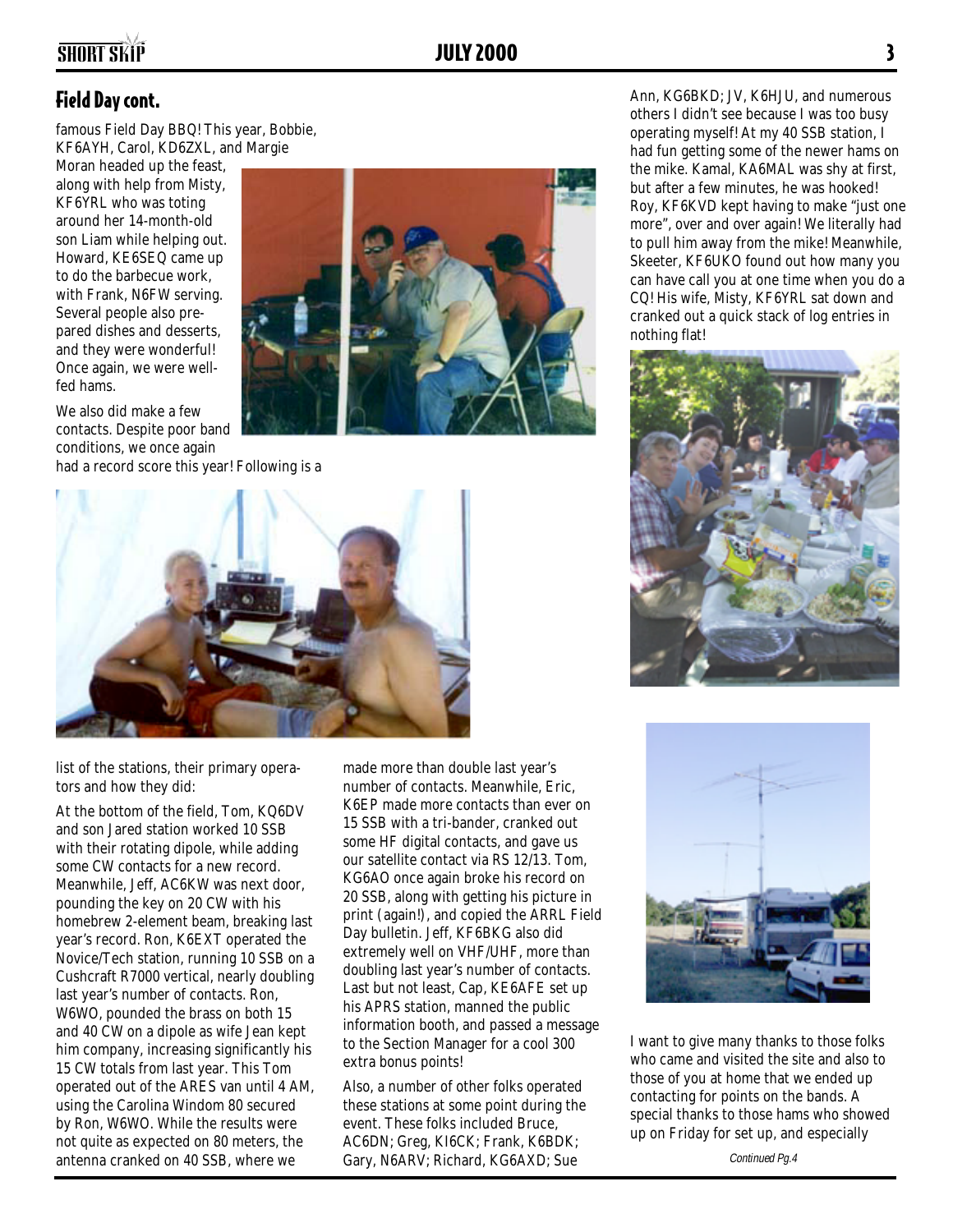### SHORT SKIP **3**

#### Field Day cont.

famous Field Day BBQ! This year, Bobbie, KF6AYH, Carol, KD6ZXL, and Margie

Moran headed up the feast, along with help from Misty, KF6YRL who was toting around her 14-month-old son Liam while helping out. Howard, KE6SEQ came up to do the barbecue work, with Frank, N6FW serving. Several people also prepared dishes and desserts, and they were wonderful! Once again, we were wellfed hams.

We also did make a few contacts. Despite poor band conditions, we once again

had a record score this year! Following is a





list of the stations, their primary operators and how they did:

At the bottom of the field, Tom, KQ6DV and son Jared station worked 10 SSB with their rotating dipole, while adding some CW contacts for a new record. Meanwhile, Jeff, AC6KW was next door, pounding the key on 20 CW with his homebrew 2-element beam, breaking last year's record. Ron, K6EXT operated the Novice/Tech station, running 10 SSB on a Cushcraft R7000 vertical, nearly doubling last year's number of contacts. Ron, W6WO, pounded the brass on both 15 and 40 CW on a dipole as wife Jean kept him company, increasing significantly his 15 CW totals from last year. This Tom operated out of the ARES van until 4 AM, using the Carolina Windom 80 secured by Ron, W6WO. While the results were not quite as expected on 80 meters, the antenna cranked on 40 SSB, where we

made more than double last year's number of contacts. Meanwhile, Eric, K6EP made more contacts than ever on 15 SSB with a tri-bander, cranked out some HF digital contacts, and gave us our satellite contact via RS 12/13. Tom, KG6AO once again broke his record on 20 SSB, along with getting his picture in print (again!), and copied the ARRL Field Day bulletin. Jeff, KF6BKG also did extremely well on VHF/UHF, more than doubling last year's number of contacts. Last but not least, Cap, KE6AFE set up his APRS station, manned the public information booth, and passed a message to the Section Manager for a cool 300 extra bonus points!

Also, a number of other folks operated these stations at some point during the event. These folks included Bruce, AC6DN; Greg, KI6CK; Frank, K6BDK; Gary, N6ARV; Richard, KG6AXD; Sue

Ann, KG6BKD; JV, K6HJU, and numerous others I didn't see because I was too busy operating myself! At my 40 SSB station, I had fun getting some of the newer hams on the mike. Kamal, KA6MAL was shy at first, but after a few minutes, he was hooked! Roy, KF6KVD kept having to make "just one more", over and over again! We literally had to pull him away from the mike! Meanwhile, Skeeter, KF6UKO found out how many you can have call you at one time when you do a CQ! His wife, Misty, KF6YRL sat down and cranked out a quick stack of log entries in nothing flat!





I want to give many thanks to those folks who came and visited the site and also to those of you at home that we ended up contacting for points on the bands. A special thanks to those hams who showed up on Friday for set up, and especially

Continued Pg.4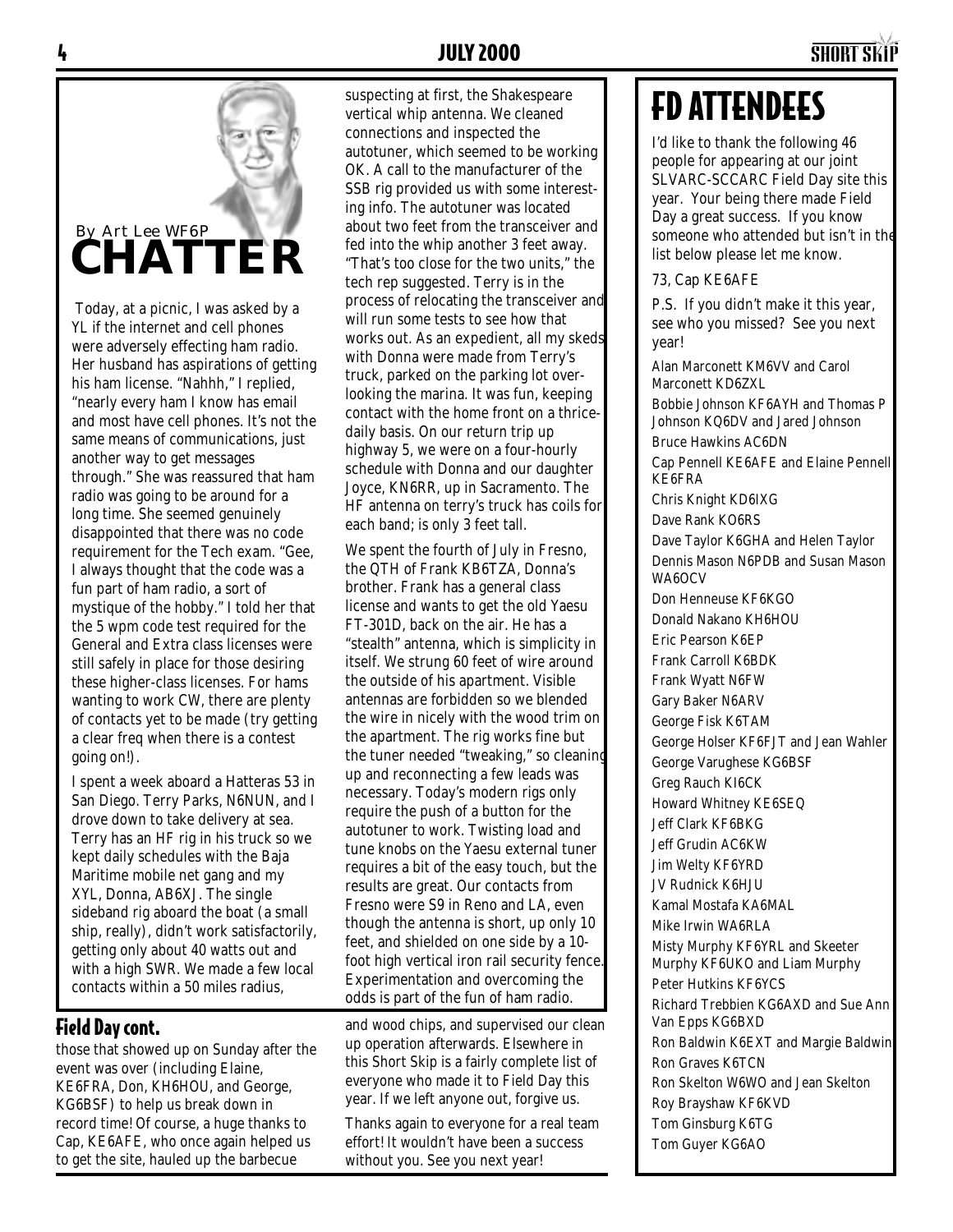### By Art Lee WF6P **CHATTER**

 Today, at a picnic, I was asked by a YL if the internet and cell phones were adversely effecting ham radio. Her husband has aspirations of getting his ham license. "Nahhh," I replied, "nearly every ham I know has email and most have cell phones. It's not the same means of communications, just another way to get messages through." She was reassured that ham radio was going to be around for a long time. She seemed genuinely disappointed that there was no code requirement for the Tech exam. "Gee, I always thought that the code was a fun part of ham radio, a sort of mystique of the hobby." I told her that the 5 wpm code test required for the General and Extra class licenses were still safely in place for those desiring these higher-class licenses. For hams wanting to work CW, there are plenty of contacts yet to be made (try getting a clear freq when there is a contest going on!).

I spent a week aboard a Hatteras 53 in San Diego. Terry Parks, N6NUN, and I drove down to take delivery at sea. Terry has an HF rig in his truck so we kept daily schedules with the Baja Maritime mobile net gang and my XYL, Donna, AB6XJ. The single sideband rig aboard the boat (a small ship, really), didn't work satisfactorily, getting only about 40 watts out and with a high SWR. We made a few local contacts within a 50 miles radius,

#### Field Day cont.

those that showed up on Sunday after the event was over (including Elaine, KE6FRA, Don, KH6HOU, and George, KG6BSF) to help us break down in record time! Of course, a huge thanks to Cap, KE6AFE, who once again helped us to get the site, hauled up the barbecue

suspecting at first, the Shakespeare vertical whip antenna. We cleaned connections and inspected the autotuner, which seemed to be working OK. A call to the manufacturer of the SSB rig provided us with some interesting info. The autotuner was located about two feet from the transceiver and fed into the whip another 3 feet away. "That's too close for the two units," the tech rep suggested. Terry is in the process of relocating the transceiver and will run some tests to see how that works out. As an expedient, all my skeds with Donna were made from Terry's truck, parked on the parking lot overlooking the marina. It was fun, keeping contact with the home front on a thricedaily basis. On our return trip up highway 5, we were on a four-hourly schedule with Donna and our daughter Joyce, KN6RR, up in Sacramento. The HF antenna on terry's truck has coils for each band; is only 3 feet tall.

We spent the fourth of July in Fresno, the QTH of Frank KB6TZA, Donna's brother. Frank has a general class license and wants to get the old Yaesu FT-301D, back on the air. He has a "stealth" antenna, which is simplicity in itself. We strung 60 feet of wire around the outside of his apartment. Visible antennas are forbidden so we blended the wire in nicely with the wood trim on the apartment. The rig works fine but the tuner needed "tweaking," so cleaning up and reconnecting a few leads was necessary. Today's modern rigs only require the push of a button for the autotuner to work. Twisting load and tune knobs on the Yaesu external tuner requires a bit of the easy touch, but the results are great. Our contacts from Fresno were S9 in Reno and LA, even though the antenna is short, up only 10 feet, and shielded on one side by a 10 foot high vertical iron rail security fence. Experimentation and overcoming the odds is part of the fun of ham radio.

and wood chips, and supervised our clean up operation afterwards. Elsewhere in this Short Skip is a fairly complete list of everyone who made it to Field Day this year. If we left anyone out, forgive us.

Thanks again to everyone for a real team effort! It wouldn't have been a success without you. See you next year!

## FD ATTENDEES

I'd like to thank the following 46 people for appearing at our joint SLVARC-SCCARC Field Day site this year. Your being there made Field Day a great success. If you know someone who attended but isn't in the list below please let me know.

73, Cap KE6AFE

P.S. If you didn't make it this year, see who you missed? See you next year!

Alan Marconett KM6VV and Carol Marconett KD6ZXL

Bobbie Johnson KF6AYH and Thomas P Johnson KQ6DV and Jared Johnson

Bruce Hawkins AC6DN

Cap Pennell KE6AFE and Elaine Pennell KE6FRA

Chris Knight KD6IXG

Dave Rank KO6RS

Dave Taylor K6GHA and Helen Taylor Dennis Mason N6PDB and Susan Mason WA6OCV

Don Henneuse KF6KGO Donald Nakano KH6HOU Eric Pearson K6EP Frank Carroll K6BDK Frank Wyatt N6FW Gary Baker N6ARV George Fisk K6TAM George Holser KF6FJT and Jean Wahler George Varughese KG6BSF Greg Rauch KI6CK Howard Whitney KE6SEQ Jeff Clark KF6BKG Jeff Grudin AC6KW Jim Welty KF6YRD JV Rudnick K6HJU Kamal Mostafa KA6MAL Mike Irwin WA6RLA Misty Murphy KF6YRL and Skeeter Murphy KF6UKO and Liam Murphy Peter Hutkins KF6YCS Richard Trebbien KG6AXD and Sue Ann Van Epps KG6BXD Ron Baldwin K6EXT and Margie Baldwin Ron Graves K6TCN Ron Skelton W6WO and Jean Skelton

Roy Brayshaw KF6KVD Tom Ginsburg K6TG Tom Guyer KG6AO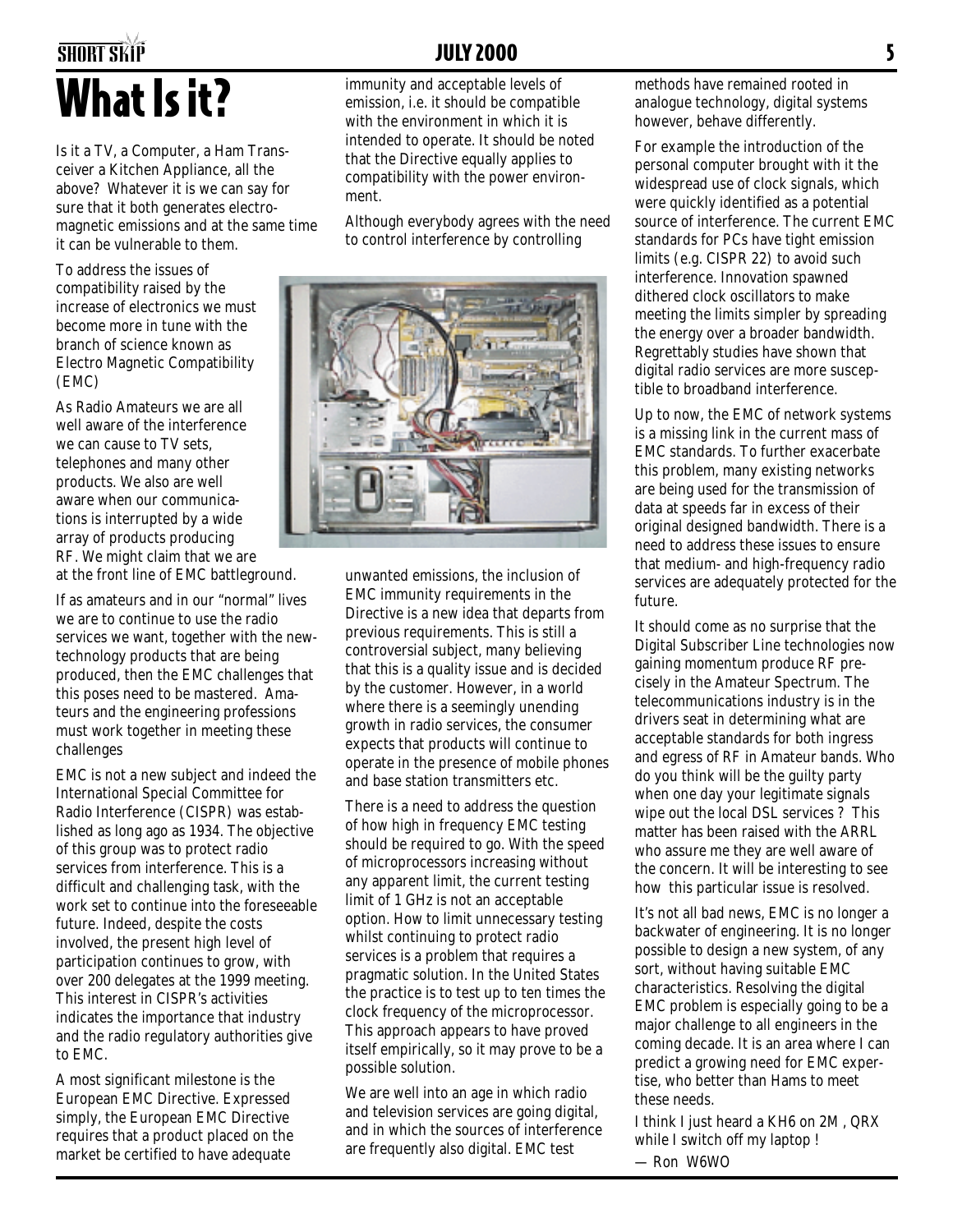## SHORT SKiP JULY 2000 5 What Is it?

Is it a TV, a Computer, a Ham Transceiver a Kitchen Appliance, all the above? Whatever it is we can say for sure that it both generates electromagnetic emissions and at the same time it can be vulnerable to them.

To address the issues of compatibility raised by the increase of electronics we must become more in tune with the branch of science known as Electro Magnetic Compatibility (EMC)

As Radio Amateurs we are all well aware of the interference we can cause to TV sets, telephones and many other products. We also are well aware when our communications is interrupted by a wide array of products producing RF. We might claim that we are at the front line of EMC battleground.

If as amateurs and in our "normal" lives we are to continue to use the radio services we want, together with the newtechnology products that are being produced, then the EMC challenges that this poses need to be mastered. Amateurs and the engineering professions must work together in meeting these challenges

EMC is not a new subject and indeed the International Special Committee for Radio Interference (CISPR) was established as long ago as 1934. The objective of this group was to protect radio services from interference. This is a difficult and challenging task, with the work set to continue into the foreseeable future. Indeed, despite the costs involved, the present high level of participation continues to grow, with over 200 delegates at the 1999 meeting. This interest in CISPR's activities indicates the importance that industry and the radio regulatory authorities give to EMC.

A most significant milestone is the European EMC Directive. Expressed simply, the European EMC Directive requires that a product placed on the market be certified to have adequate

immunity and acceptable levels of emission, i.e. it should be compatible with the environment in which it is intended to operate. It should be noted that the Directive equally applies to compatibility with the power environment.

Although everybody agrees with the need to control interference by controlling



unwanted emissions, the inclusion of EMC immunity requirements in the Directive is a new idea that departs from previous requirements. This is still a controversial subject, many believing that this is a quality issue and is decided by the customer. However, in a world where there is a seemingly unending growth in radio services, the consumer expects that products will continue to operate in the presence of mobile phones and base station transmitters etc.

There is a need to address the question of how high in frequency EMC testing should be required to go. With the speed of microprocessors increasing without any apparent limit, the current testing limit of 1 GHz is not an acceptable option. How to limit unnecessary testing whilst continuing to protect radio services is a problem that requires a pragmatic solution. In the United States the practice is to test up to ten times the clock frequency of the microprocessor. This approach appears to have proved itself empirically, so it may prove to be a possible solution.

We are well into an age in which radio and television services are going digital, and in which the sources of interference are frequently also digital. EMC test

methods have remained rooted in analogue technology, digital systems however, behave differently.

For example the introduction of the personal computer brought with it the widespread use of clock signals, which were quickly identified as a potential source of interference. The current EMC standards for PCs have tight emission limits (e.g. CISPR 22) to avoid such interference. Innovation spawned dithered clock oscillators to make meeting the limits simpler by spreading the energy over a broader bandwidth. Regrettably studies have shown that digital radio services are more susceptible to broadband interference.

Up to now, the EMC of network systems is a missing link in the current mass of EMC standards. To further exacerbate this problem, many existing networks are being used for the transmission of data at speeds far in excess of their original designed bandwidth. There is a need to address these issues to ensure that medium- and high-frequency radio services are adequately protected for the future.

It should come as no surprise that the Digital Subscriber Line technologies now gaining momentum produce RF precisely in the Amateur Spectrum. The telecommunications industry is in the drivers seat in determining what are acceptable standards for both ingress and egress of RF in Amateur bands. Who do you think will be the guilty party when one day your legitimate signals wipe out the local DSL services ? This matter has been raised with the ARRL who assure me they are well aware of the concern. It will be interesting to see how this particular issue is resolved.

It's not all bad news, EMC is no longer a backwater of engineering. It is no longer possible to design a new system, of any sort, without having suitable EMC characteristics. Resolving the digital EMC problem is especially going to be a major challenge to all engineers in the coming decade. It is an area where I can predict a growing need for EMC expertise, who better than Hams to meet these needs.

I think I just heard a KH6 on 2M , QRX while I switch off my laptop !

— Ron W6WO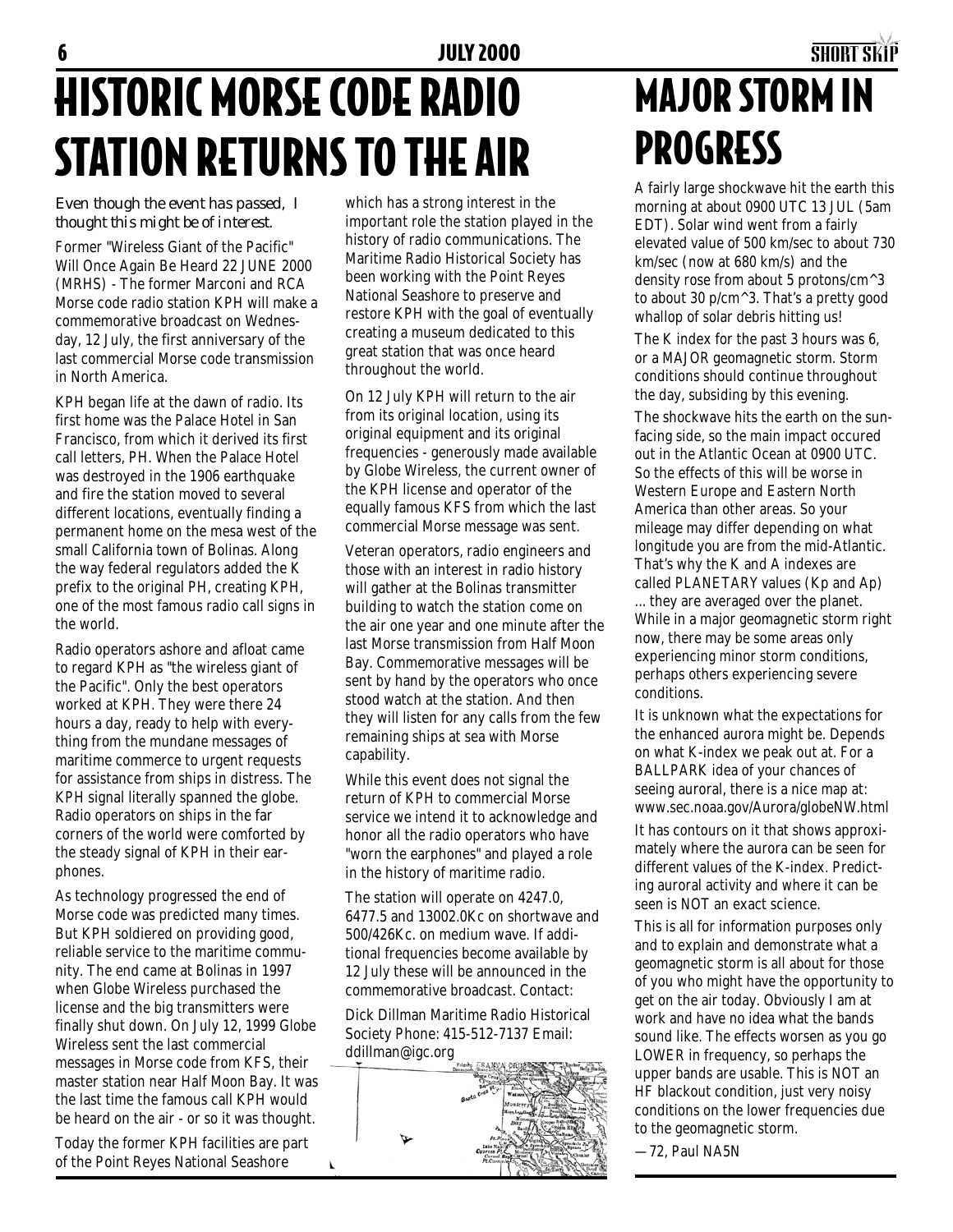## 6 JULY 2000 SHORT SKiP HISTORIC MORSE CODE RADIO STATION RETURNS TO THE AIR

*Even though the event has passed, I thought this might be of interest.*

Former "Wireless Giant of the Pacific" Will Once Again Be Heard 22 JUNE 2000 (MRHS) - The former Marconi and RCA Morse code radio station KPH will make a commemorative broadcast on Wednesday, 12 July, the first anniversary of the last commercial Morse code transmission in North America.

KPH began life at the dawn of radio. Its first home was the Palace Hotel in San Francisco, from which it derived its first call letters, PH. When the Palace Hotel was destroyed in the 1906 earthquake and fire the station moved to several different locations, eventually finding a permanent home on the mesa west of the small California town of Bolinas. Along the way federal regulators added the K prefix to the original PH, creating KPH, one of the most famous radio call signs in the world.

Radio operators ashore and afloat came to regard KPH as "the wireless giant of the Pacific". Only the best operators worked at KPH. They were there 24 hours a day, ready to help with everything from the mundane messages of maritime commerce to urgent requests for assistance from ships in distress. The KPH signal literally spanned the globe. Radio operators on ships in the far corners of the world were comforted by the steady signal of KPH in their earphones.

As technology progressed the end of Morse code was predicted many times. But KPH soldiered on providing good, reliable service to the maritime community. The end came at Bolinas in 1997 when Globe Wireless purchased the license and the big transmitters were finally shut down. On July 12, 1999 Globe Wireless sent the last commercial messages in Morse code from KFS, their master station near Half Moon Bay. It was the last time the famous call KPH would be heard on the air - or so it was thought.

Today the former KPH facilities are part of the Point Reyes National Seashore

 $\pmb{\mathcal{r}}$ 

which has a strong interest in the important role the station played in the history of radio communications. The Maritime Radio Historical Society has been working with the Point Reyes National Seashore to preserve and restore KPH with the goal of eventually creating a museum dedicated to this great station that was once heard throughout the world.

On 12 July KPH will return to the air from its original location, using its original equipment and its original frequencies - generously made available by Globe Wireless, the current owner of the KPH license and operator of the equally famous KFS from which the last commercial Morse message was sent.

Veteran operators, radio engineers and those with an interest in radio history will gather at the Bolinas transmitter building to watch the station come on the air one year and one minute after the last Morse transmission from Half Moon Bay. Commemorative messages will be sent by hand by the operators who once stood watch at the station. And then they will listen for any calls from the few remaining ships at sea with Morse capability.

While this event does not signal the return of KPH to commercial Morse service we intend it to acknowledge and honor all the radio operators who have "worn the earphones" and played a role in the history of maritime radio.

The station will operate on 4247.0, 6477.5 and 13002.0Kc on shortwave and 500/426Kc. on medium wave. If additional frequencies become available by 12 July these will be announced in the commemorative broadcast. Contact:

Dick Dillman Maritime Radio Historical Society Phone: 415-512-7137 Email: ddillman@igc.org



# MAJOR STORM IN PROGRESS

A fairly large shockwave hit the earth this morning at about 0900 UTC 13 JUL (5am EDT). Solar wind went from a fairly elevated value of 500 km/sec to about 730 km/sec (now at 680 km/s) and the density rose from about 5 protons/cm^3 to about 30 p/cm^3. That's a pretty good whallop of solar debris hitting us!

The K index for the past 3 hours was 6, or a MAJOR geomagnetic storm. Storm conditions should continue throughout the day, subsiding by this evening.

The shockwave hits the earth on the sunfacing side, so the main impact occured out in the Atlantic Ocean at 0900 UTC. So the effects of this will be worse in Western Europe and Eastern North America than other areas. So your mileage may differ depending on what longitude you are from the mid-Atlantic. That's why the K and A indexes are called PLANETARY values (Kp and Ap)

... they are averaged over the planet. While in a major geomagnetic storm right now, there may be some areas only experiencing minor storm conditions, perhaps others experiencing severe conditions.

It is unknown what the expectations for the enhanced aurora might be. Depends on what K-index we peak out at. For a BALLPARK idea of your chances of seeing auroral, there is a nice map at: www.sec.noaa.gov/Aurora/globeNW.html It has contours on it that shows approximately where the aurora can be seen for different values of the K-index. Predicting auroral activity and where it can be seen is NOT an exact science.

This is all for information purposes only and to explain and demonstrate what a geomagnetic storm is all about for those of you who might have the opportunity to get on the air today. Obviously I am at work and have no idea what the bands sound like. The effects worsen as you go LOWER in frequency, so perhaps the upper bands are usable. This is NOT an HF blackout condition, just very noisy conditions on the lower frequencies due to the geomagnetic storm.

—72, Paul NA5N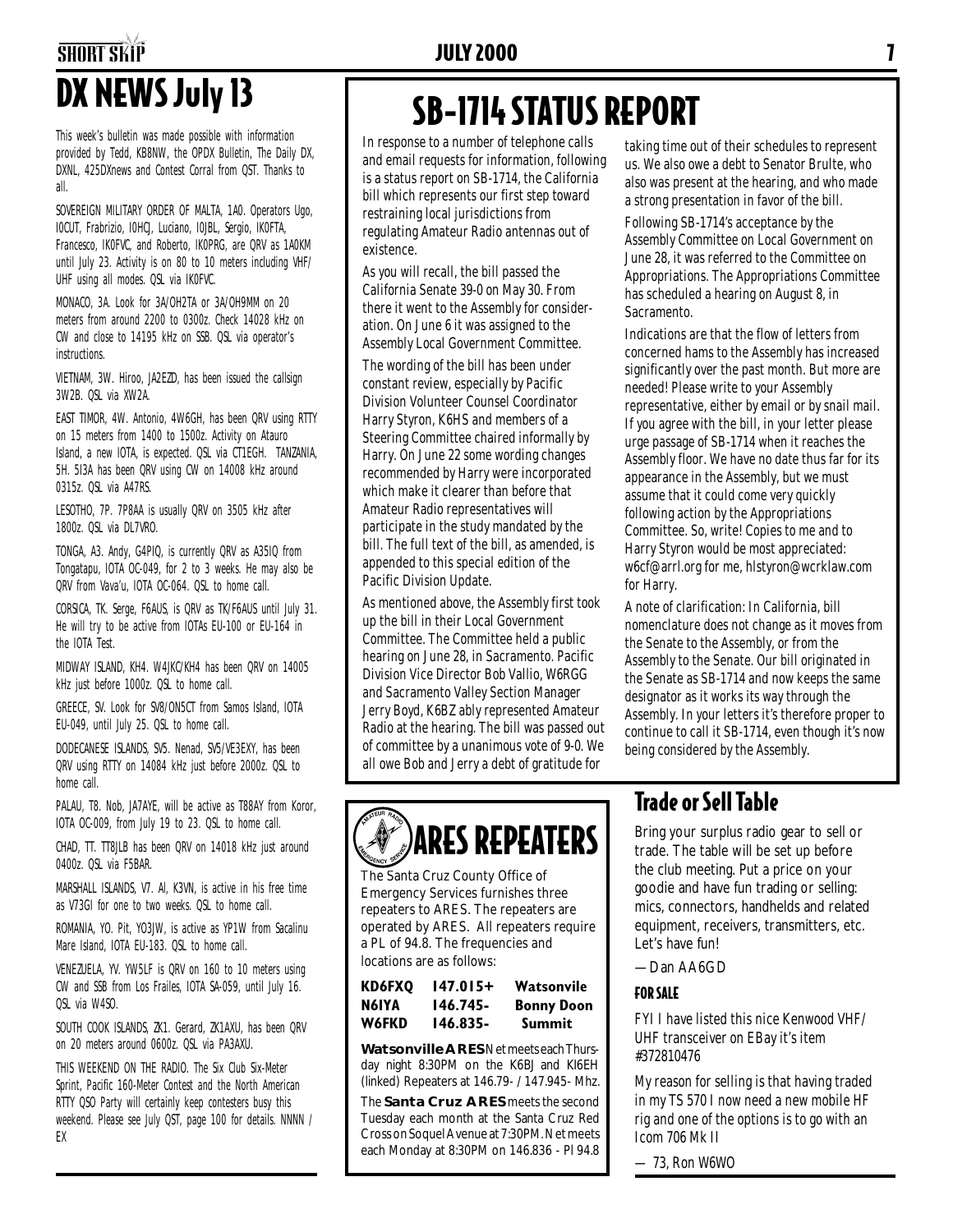# SHORT SKiP JULY 2000 7

This week's bulletin was made possible with information provided by Tedd, KB8NW, the OPDX Bulletin, The Daily DX, DXNL, 425DXnews and Contest Corral from QST. Thanks to all.

SOVEREIGN MILITARY ORDER OF MALTA, 1A0. Operators Ugo, I0CUT, Frabrizio, I0HCJ, Luciano, I0JBL, Sergio, IK0FTA, Francesco, IK0FVC, and Roberto, IK0PRG, are QRV as 1A0KM until July 23. Activity is on 80 to 10 meters including VHF/ UHF using all modes. QSL via IK0FVC.

MONACO, 3A. Look for 3A/OH2TA or 3A/OH9MM on 20 meters from around 2200 to 0300z. Check 14028 kHz on CW and close to 14195 kHz on SSB. QSL via operator's instructions.

VIETNAM, 3W. Hiroo, JA2EZD, has been issued the callsign 3W2B. QSL via XW2A.

EAST TIMOR, 4W. Antonio, 4W6GH, has been QRV using RTTY on 15 meters from 1400 to 1500z. Activity on Atauro Island, a new IOTA, is expected. QSL via CT1EGH. TANZANIA, 5H. 5I3A has been QRV using CW on 14008 kHz around 0315z. QSL via A47RS.

LESOTHO, 7P. 7P8AA is usually QRV on 3505 kHz after 1800z. QSL via DL7VRO.

TONGA, A3. Andy, G4PIQ, is currently QRV as A35IQ from Tongatapu, IOTA OC-049, for 2 to 3 weeks. He may also be QRV from Vava'u, IOTA OC-064. QSL to home call.

CORSICA, TK. Serge, F6AUS, is QRV as TK/F6AUS until July 31. He will try to be active from IOTAs EU-100 or EU-164 in the IOTA Test.

MIDWAY ISLAND, KH4. W4JKC/KH4 has been QRV on 14005 kHz just before 1000z. QSL to home call.

GREECE, SV. Look for SV8/ON5CT from Samos Island, IOTA EU-049, until July 25. QSL to home call.

DODECANESE ISLANDS, SV5. Nenad, SV5/VE3EXY, has been QRV using RTTY on 14084 kHz just before 2000z. QSL to home call.

PALAU, T8. Nob, JA7AYE, will be active as T88AY from Koror, IOTA OC-009, from July 19 to 23. QSL to home call.

CHAD, TT. TT8JLB has been QRV on 14018 kHz just around 0400z. QSL via F5BAR.

MARSHALL ISLANDS, V7. Al, K3VN, is active in his free time as V73GI for one to two weeks. QSL to home call.

ROMANIA, YO. Pit, YO3JW, is active as YP1W from Sacalinu Mare Island, IOTA EU-183. QSL to home call.

VENEZUELA, YV. YW5LF is QRV on 160 to 10 meters using CW and SSB from Los Frailes, IOTA SA-059, until July 16. QSL via W4SO.

SOUTH COOK ISLANDS, ZK1. Gerard, ZK1AXU, has been QRV on 20 meters around 0600z. QSL via PA3AXU.

THIS WEEKEND ON THE RADIO. The Six Club Six-Meter Sprint, Pacific 160-Meter Contest and the North American RTTY QSO Party will certainly keep contesters busy this weekend. Please see July QST, page 100 for details. NNNN / EX

# DX NEWS July 13 SB-1714 STATUS REPORT

In response to a number of telephone calls and email requests for information, following is a status report on SB-1714, the California bill which represents our first step toward restraining local jurisdictions from regulating Amateur Radio antennas out of existence.

As you will recall, the bill passed the California Senate 39-0 on May 30. From there it went to the Assembly for consideration. On June 6 it was assigned to the Assembly Local Government Committee.

The wording of the bill has been under constant review, especially by Pacific Division Volunteer Counsel Coordinator Harry Styron, K6HS and members of a Steering Committee chaired informally by Harry. On June 22 some wording changes recommended by Harry were incorporated which make it clearer than before that Amateur Radio representatives will participate in the study mandated by the bill. The full text of the bill, as amended, is appended to this special edition of the Pacific Division Update.

As mentioned above, the Assembly first took up the bill in their Local Government Committee. The Committee held a public hearing on June 28, in Sacramento. Pacific Division Vice Director Bob Vallio, W6RGG and Sacramento Valley Section Manager Jerry Boyd, K6BZ ably represented Amateur Radio at the hearing. The bill was passed out of committee by a unanimous vote of 9-0. We all owe Bob and Jerry a debt of gratitude for

taking time out of their schedules to represent us. We also owe a debt to Senator Brulte, who also was present at the hearing, and who made a strong presentation in favor of the bill.

Following SB-1714's acceptance by the Assembly Committee on Local Government on June 28, it was referred to the Committee on Appropriations. The Appropriations Committee has scheduled a hearing on August 8, in Sacramento.

Indications are that the flow of letters from concerned hams to the Assembly has increased significantly over the past month. But more are needed! Please write to your Assembly representative, either by email or by snail mail. If you agree with the bill, in your letter please urge passage of SB-1714 when it reaches the Assembly floor. We have no date thus far for its appearance in the Assembly, but we must assume that it could come very quickly following action by the Appropriations Committee. So, write! Copies to me and to Harry Styron would be most appreciated: w6cf@arrl.org for me, hlstyron@wcrklaw.com for Harry.

A note of clarification: In California, bill nomenclature does not change as it moves from the Senate to the Assembly, or from the Assembly to the Senate. Our bill originated in the Senate as SB-1714 and now keeps the same designator as it works its way through the Assembly. In your letters it's therefore proper to continue to call it SB-1714, even though it's now being considered by the Assembly.

# ARES REPEATERS

The Santa Cruz County Office of Emergency Services furnishes three repeaters to ARES. The repeaters are operated by ARES. All repeaters require a PL of 94.8. The frequencies and locations are as follows:

| KD6FXO       | 147.015+ | Watsonvile        |
|--------------|----------|-------------------|
| N6IYA        | 146.745- | <b>Bonny Doon</b> |
| <b>W6FKD</b> | 146.835- | Summit            |

**Watsonville ARES** Net meets each Thursday night 8:30PM on the K6BJ and KI6EH (linked) Repeaters at 146.79- / 147.945- Mhz.

The **Santa Cruz ARES** meets the second Tuesday each month at the Santa Cruz Red Cross on Soquel Avenue at 7:30PM. Net meets each Monday at 8:30PM on 146.836 - Pl 94.8

#### Trade or Sell Table

Bring your surplus radio gear to sell or trade. The table will be set up before the club meeting. Put a price on your goodie and have fun trading or selling: mics, connectors, handhelds and related equipment, receivers, transmitters, etc. Let's have fun!

#### —Dan AA6GD

#### FOR SALE

FYI I have listed this nice Kenwood VHF/ UHF transceiver on EBay it's item #372810476

My reason for selling is that having traded in my TS 570 I now need a new mobile HF rig and one of the options is to go with an Icom 706 Mk II

— 73, Ron W6WO